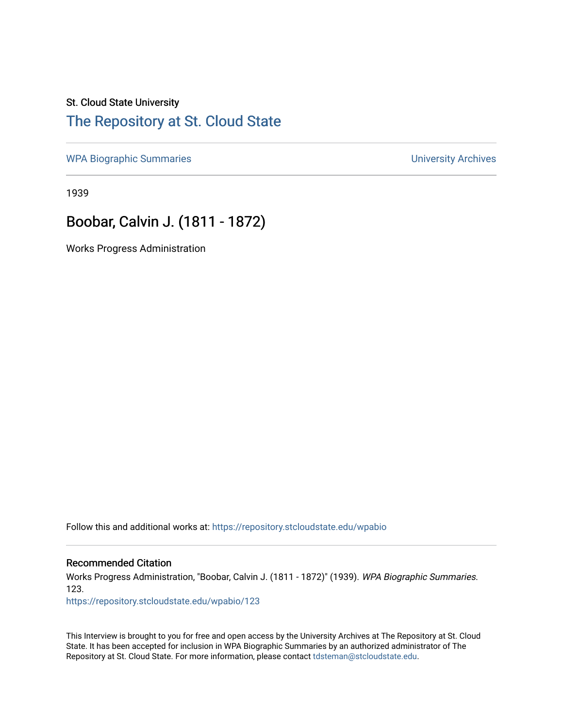## St. Cloud State University

## [The Repository at St. Cloud State](https://repository.stcloudstate.edu/)

[WPA Biographic Summaries](https://repository.stcloudstate.edu/wpabio) **WPA Biographic Summaries University Archives** 

1939

# Boobar, Calvin J. (1811 - 1872)

Works Progress Administration

Follow this and additional works at: [https://repository.stcloudstate.edu/wpabio](https://repository.stcloudstate.edu/wpabio?utm_source=repository.stcloudstate.edu%2Fwpabio%2F123&utm_medium=PDF&utm_campaign=PDFCoverPages) 

#### Recommended Citation

Works Progress Administration, "Boobar, Calvin J. (1811 - 1872)" (1939). WPA Biographic Summaries. 123.

[https://repository.stcloudstate.edu/wpabio/123](https://repository.stcloudstate.edu/wpabio/123?utm_source=repository.stcloudstate.edu%2Fwpabio%2F123&utm_medium=PDF&utm_campaign=PDFCoverPages) 

This Interview is brought to you for free and open access by the University Archives at The Repository at St. Cloud State. It has been accepted for inclusion in WPA Biographic Summaries by an authorized administrator of The Repository at St. Cloud State. For more information, please contact [tdsteman@stcloudstate.edu.](mailto:tdsteman@stcloudstate.edu)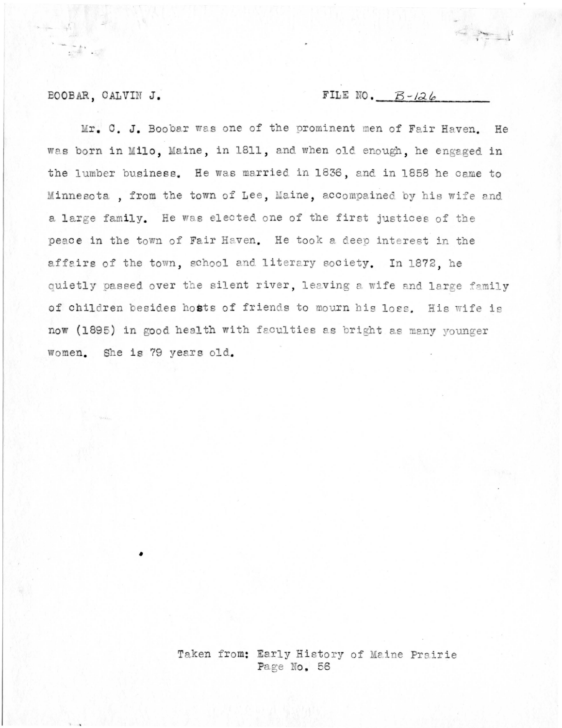## FILE NO.  $B-\frac{1}{2}b$

BOOBAR, CALVIN J.

Mr. C. J. Boobar was one of the prominent men of Fair Haven. He was born in Milo, Maine, in 1811, and when old enough, he engaged in the lumber business. He was married in 1836, and in 1858 he came to Minnesota, from the town of Lee, Maine, accompained by his wife and a large family. He was elected one of the first justices of the peace in the town of Fair Haven. He took a deep interest in the affairs of the town, school and literary society. In 1872, he quietly passed over the silent river, leaving a wife and large family of children besides hosts of friends to mourn his loss. His wife is now (1895) in good health with faculties as bright as many younger women. She is 79 years old.

> Taken from: Early History of Maine Prairie Page No. 56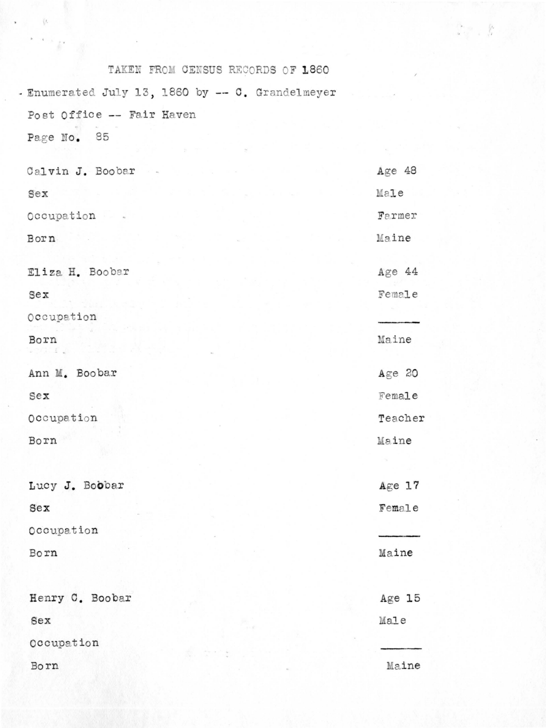| TAKEN FROM CENSUS RECORDS OF 1860              |          |
|------------------------------------------------|----------|
| Enumerated July 13, 1860 by -- C. Grandelmeyer |          |
| Post Office -- Fair Haven                      |          |
| Page No. 85                                    |          |
|                                                |          |
| Calvin J. Boobar                               | Age $48$ |
| Sex                                            | Male     |
| Occupation.                                    | Farmer   |
| Born                                           | Maine    |
| Eliza H. Boobar                                | Age 44   |
|                                                |          |
| $se$                                           | Female   |
| Occupation                                     |          |
| Born                                           | Maine    |
| Ann M. Boobar                                  | Age $20$ |
| sex                                            | Female   |
| Occupation                                     | Teacher  |
| Born                                           | Maine    |
|                                                |          |
| Lucy J. Bobbar                                 | Age 17   |
| Sex                                            | Female   |
| Occupation                                     |          |
| Born                                           | Maine    |
|                                                |          |
| Henry C. Boobar                                | Age 15   |
| Sex                                            | Male     |
| Occupation                                     |          |
| Born                                           | Maine    |
|                                                |          |

 $\left(\right)$ 

 $\label{eq:Ricci} \begin{array}{c} \mathcal{O}_{\mathcal{M}}(\mathcal{O}_{\mathcal{M}}) = \mathcal{O}_{\mathcal{M}}(\mathcal{O}_{\mathcal{M}}) \end{array}$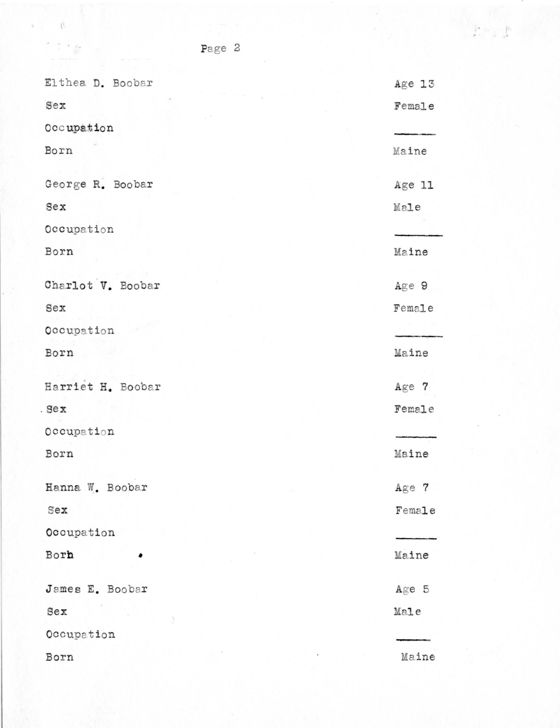| Elthea D. Boobar  | $Age = 13$ |
|-------------------|------------|
| Sex               | Female     |
| Occupation        |            |
| Born              | Maine      |
| George R. Boobar  | Age 11     |
| $sex$             | Male       |
| Occupation        |            |
| Born              | Maine      |
| Charlot V. Boobar | Age 9      |
| Sex               | Female     |
| Occupation        |            |
| Born              | Maine      |
| Harriet H. Boobar | Age 7      |
| Sex.              | Female     |
| Occupation        |            |
| Born              | Maine      |
| Hanna W. Boobar   | Age 7      |
| Sex               | Female     |
| Occupation        |            |
| Borh              | Maine      |
| James E. Boobar   | Age 5      |
| Sex               | Male       |
| Occupation        |            |
| Born              | Maine      |

 $\label{eq:3.1} \begin{array}{cc} \mu_{\text{min}} & \mu_{\text{max}} \\ \epsilon_{\text{max}} & \epsilon_{\text{max}} \end{array}$ 

 $\hat{\varrho}$ 

 $\begin{array}{ccccc} \delta & \rightarrow \phi & & \downarrow & \downarrow \\ & \rightarrow & & \downarrow & \downarrow \\ & \rightarrow & & \downarrow & \downarrow \end{array}$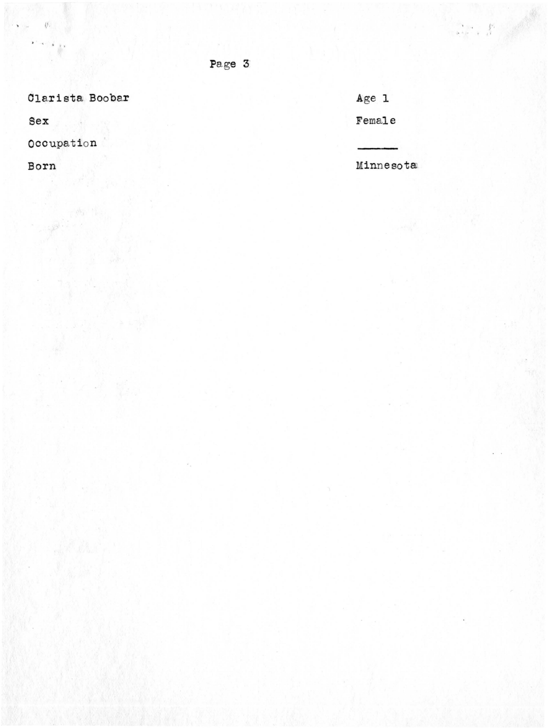Page 3

Clarista Boobar

- 41

 $sex$ 

 $\beta.$ 

Occupation

Born

Age 1

 $\begin{pmatrix} \mathbf{e}_1 & \mathbf{e}_2 & \mathbf{e}_3 \\ \mathbf{e}_2 & \mathbf{e}_3 & \mathbf{e}_4 \\ \mathbf{e}_3 & \mathbf{e}_5 & \mathbf{e}_6 \end{pmatrix}$ 

Female

Minnesota